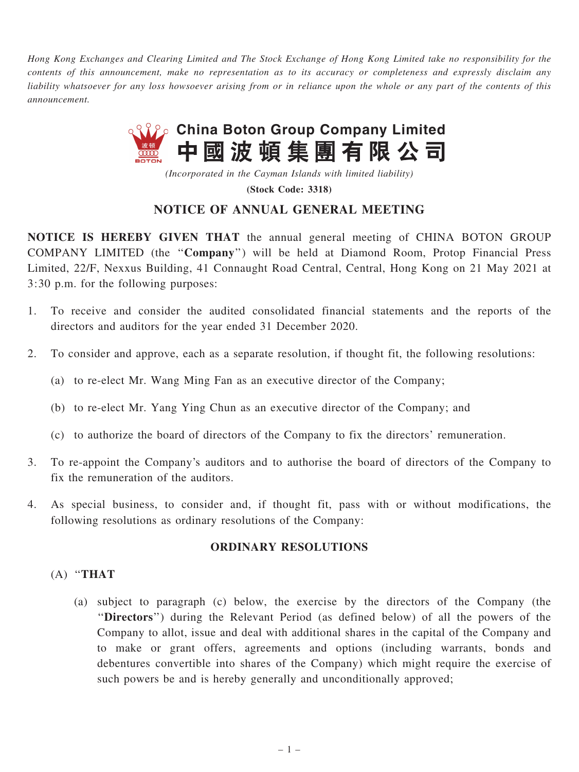Hong Kong Exchanges and Clearing Limited and The Stock Exchange of Hong Kong Limited take no responsibility for the contents of this announcement, make no representation as to its accuracy or completeness and expressly disclaim any liability whatsoever for any loss howsoever arising from or in reliance upon the whole or any part of the contents of this announcement.



(Incorporated in the Cayman Islands with limited liability)

(Stock Code: 3318)

# NOTICE OF ANNUAL GENERAL MEETING

NOTICE IS HEREBY GIVEN THAT the annual general meeting of CHINA BOTON GROUP COMPANY LIMITED (the ''Company'') will be held at Diamond Room, Protop Financial Press Limited, 22/F, Nexxus Building, 41 Connaught Road Central, Central, Hong Kong on 21 May 2021 at 3:30 p.m. for the following purposes:

- 1. To receive and consider the audited consolidated financial statements and the reports of the directors and auditors for the year ended 31 December 2020.
- 2. To consider and approve, each as a separate resolution, if thought fit, the following resolutions:
	- (a) to re-elect Mr. Wang Ming Fan as an executive director of the Company;
	- (b) to re-elect Mr. Yang Ying Chun as an executive director of the Company; and
	- (c) to authorize the board of directors of the Company to fix the directors' remuneration.
- 3. To re-appoint the Company's auditors and to authorise the board of directors of the Company to fix the remuneration of the auditors.
- 4. As special business, to consider and, if thought fit, pass with or without modifications, the following resolutions as ordinary resolutions of the Company:

### ORDINARY RESOLUTIONS

### (A) ''THAT

(a) subject to paragraph (c) below, the exercise by the directors of the Company (the ''Directors'') during the Relevant Period (as defined below) of all the powers of the Company to allot, issue and deal with additional shares in the capital of the Company and to make or grant offers, agreements and options (including warrants, bonds and debentures convertible into shares of the Company) which might require the exercise of such powers be and is hereby generally and unconditionally approved;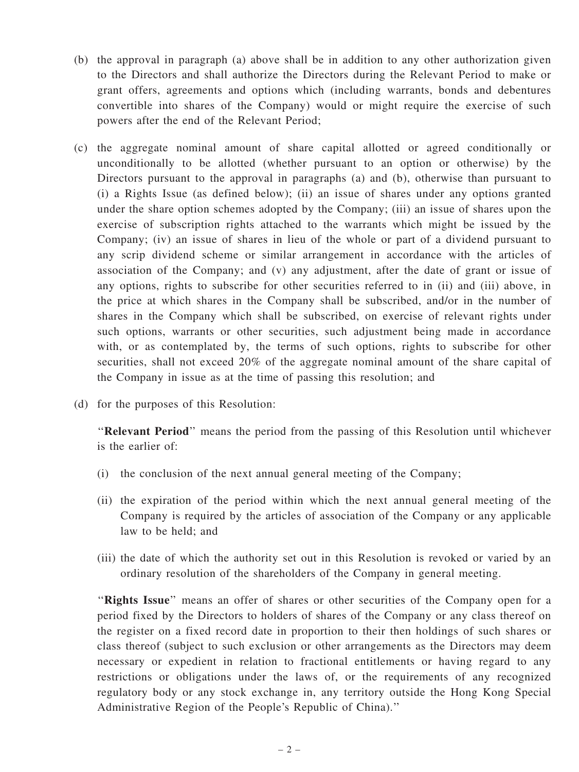- (b) the approval in paragraph (a) above shall be in addition to any other authorization given to the Directors and shall authorize the Directors during the Relevant Period to make or grant offers, agreements and options which (including warrants, bonds and debentures convertible into shares of the Company) would or might require the exercise of such powers after the end of the Relevant Period;
- (c) the aggregate nominal amount of share capital allotted or agreed conditionally or unconditionally to be allotted (whether pursuant to an option or otherwise) by the Directors pursuant to the approval in paragraphs (a) and (b), otherwise than pursuant to (i) a Rights Issue (as defined below); (ii) an issue of shares under any options granted under the share option schemes adopted by the Company; (iii) an issue of shares upon the exercise of subscription rights attached to the warrants which might be issued by the Company; (iv) an issue of shares in lieu of the whole or part of a dividend pursuant to any scrip dividend scheme or similar arrangement in accordance with the articles of association of the Company; and (v) any adjustment, after the date of grant or issue of any options, rights to subscribe for other securities referred to in (ii) and (iii) above, in the price at which shares in the Company shall be subscribed, and/or in the number of shares in the Company which shall be subscribed, on exercise of relevant rights under such options, warrants or other securities, such adjustment being made in accordance with, or as contemplated by, the terms of such options, rights to subscribe for other securities, shall not exceed 20% of the aggregate nominal amount of the share capital of the Company in issue as at the time of passing this resolution; and
- (d) for the purposes of this Resolution:

"Relevant Period" means the period from the passing of this Resolution until whichever is the earlier of:

- (i) the conclusion of the next annual general meeting of the Company;
- (ii) the expiration of the period within which the next annual general meeting of the Company is required by the articles of association of the Company or any applicable law to be held; and
- (iii) the date of which the authority set out in this Resolution is revoked or varied by an ordinary resolution of the shareholders of the Company in general meeting.

"Rights Issue" means an offer of shares or other securities of the Company open for a period fixed by the Directors to holders of shares of the Company or any class thereof on the register on a fixed record date in proportion to their then holdings of such shares or class thereof (subject to such exclusion or other arrangements as the Directors may deem necessary or expedient in relation to fractional entitlements or having regard to any restrictions or obligations under the laws of, or the requirements of any recognized regulatory body or any stock exchange in, any territory outside the Hong Kong Special Administrative Region of the People's Republic of China).''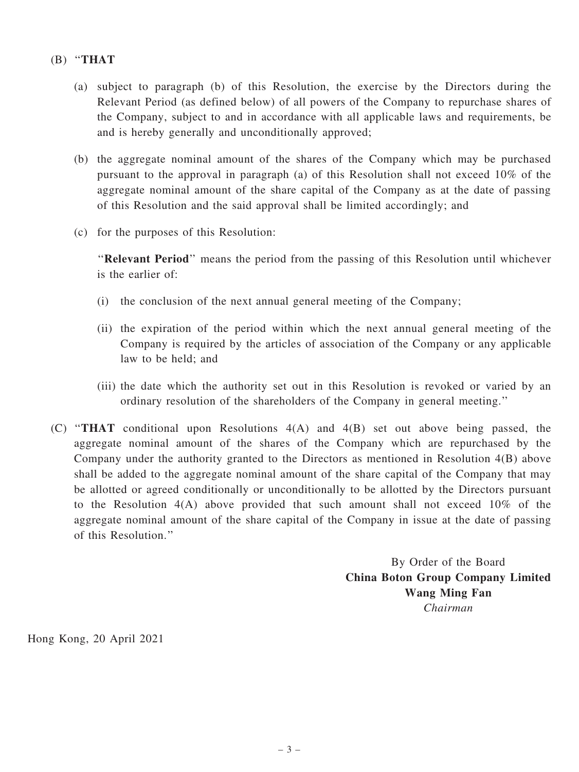# (B) ''THAT

- (a) subject to paragraph (b) of this Resolution, the exercise by the Directors during the Relevant Period (as defined below) of all powers of the Company to repurchase shares of the Company, subject to and in accordance with all applicable laws and requirements, be and is hereby generally and unconditionally approved;
- (b) the aggregate nominal amount of the shares of the Company which may be purchased pursuant to the approval in paragraph (a) of this Resolution shall not exceed 10% of the aggregate nominal amount of the share capital of the Company as at the date of passing of this Resolution and the said approval shall be limited accordingly; and
- (c) for the purposes of this Resolution:

''Relevant Period'' means the period from the passing of this Resolution until whichever is the earlier of:

- (i) the conclusion of the next annual general meeting of the Company;
- (ii) the expiration of the period within which the next annual general meeting of the Company is required by the articles of association of the Company or any applicable law to be held; and
- (iii) the date which the authority set out in this Resolution is revoked or varied by an ordinary resolution of the shareholders of the Company in general meeting.''
- (C) ''THAT conditional upon Resolutions 4(A) and 4(B) set out above being passed, the aggregate nominal amount of the shares of the Company which are repurchased by the Company under the authority granted to the Directors as mentioned in Resolution 4(B) above shall be added to the aggregate nominal amount of the share capital of the Company that may be allotted or agreed conditionally or unconditionally to be allotted by the Directors pursuant to the Resolution 4(A) above provided that such amount shall not exceed 10% of the aggregate nominal amount of the share capital of the Company in issue at the date of passing of this Resolution.''

By Order of the Board China Boton Group Company Limited Wang Ming Fan Chairman

Hong Kong, 20 April 2021